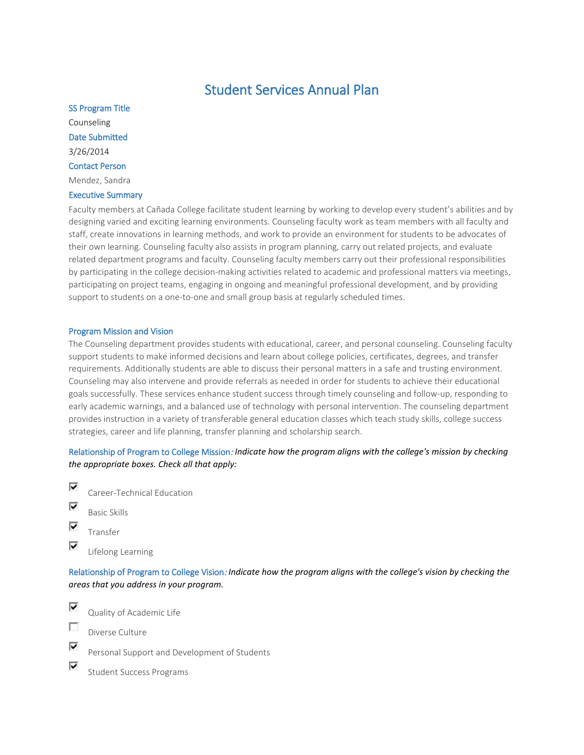# Student Services Annual Plan

SS Program Title Counseling Date Submitted 3/26/2014 Contact Person Mendez, Sandra

# Executive Summary

Faculty members at Cañada College facilitate student learning by working to develop every student's abilities and by designing varied and exciting learning environments. Counseling faculty work as team members with all faculty and staff, create innovations in learning methods, and work to provide an environment for students to be advocates of their own learning. Counseling faculty also assists in program planning, carry out related projects, and evaluate related department programs and faculty. Counseling faculty members carry out their professional responsibilities by participating in the college decision-making activities related to academic and professional matters via meetings, participating on project teams, engaging in ongoing and meaningful professional development, and by providing support to students on a one-to-one and small group basis at regularly scheduled times.

# Program Mission and Vision

The Counseling department provides students with educational, career, and personal counseling. Counseling faculty support students to make informed decisions and learn about college policies, certificates, degrees, and transfer requirements. Additionally students are able to discuss their personal matters in a safe and trusting environment. Counseling may also intervene and provide referrals as needed in order for students to achieve their educational goals successfully. These services enhance student success through timely counseling and follow-up, responding to early academic warnings, and a balanced use of technology with personal intervention. The counseling department provides instruction in a variety of transferable general education classes which teach study skills, college success strategies, career and life planning, transfer planning and scholarship search.

# Relationship of Program to College Mission: *Indicate how the program aligns with the college's mission by checking the appropriate boxes. Check all that apply:*

- ⊽ Career-Technical Education ⊽ Basic Skills ⊽ Transfer
- ⊽ Lifelong Learning

Relationship of Program to College Vision: *Indicate how the program aligns with the college's vision by checking the areas that you address in your program.*

⊽ Quality of Academic Life

г Diverse Culture

⊽

⊽

Personal Support and Development of Students

Student Success Programs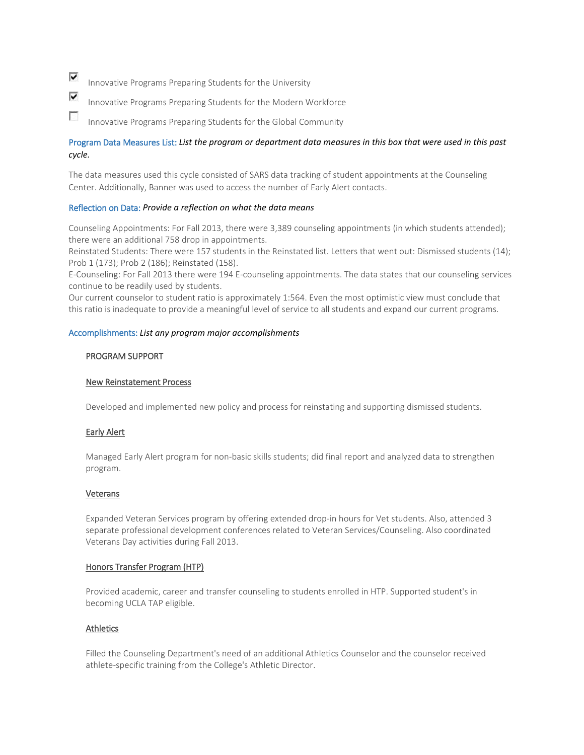⊽ Innovative Programs Preparing Students for the University

- ⊽ Innovative Programs Preparing Students for the Modern Workforce
- C. Innovative Programs Preparing Students for the Global Community

# Program Data Measures List: *List the program or department data measures in this box that were used in this past cycle.*

The data measures used this cycle consisted of SARS data tracking of student appointments at the Counseling Center. Additionally, Banner was used to access the number of Early Alert contacts.

# Reflection on Data: *Provide a reflection on what the data means*

Counseling Appointments: For Fall 2013, there were 3,389 counseling appointments (in which students attended); there were an additional 758 drop in appointments.

Reinstated Students: There were 157 students in the Reinstated list. Letters that went out: Dismissed students (14); Prob 1 (173); Prob 2 (186); Reinstated (158).

E-Counseling: For Fall 2013 there were 194 E-counseling appointments. The data states that our counseling services continue to be readily used by students.

Our current counselor to student ratio is approximately 1:564. Even the most optimistic view must conclude that this ratio is inadequate to provide a meaningful level of service to all students and expand our current programs.

# Accomplishments: *List any program major accomplishments*

# PROGRAM SUPPORT

# New Reinstatement Process

Developed and implemented new policy and process for reinstating and supporting dismissed students.

# Early Alert

Managed Early Alert program for non-basic skills students; did final report and analyzed data to strengthen program.

# Veterans

Expanded Veteran Services program by offering extended drop-in hours for Vet students. Also, attended 3 separate professional development conferences related to Veteran Services/Counseling. Also coordinated Veterans Day activities during Fall 2013.

# Honors Transfer Program (HTP)

Provided academic, career and transfer counseling to students enrolled in HTP. Supported student's in becoming UCLA TAP eligible.

# Athletics

Filled the Counseling Department's need of an additional Athletics Counselor and the counselor received athlete-specific training from the College's Athletic Director.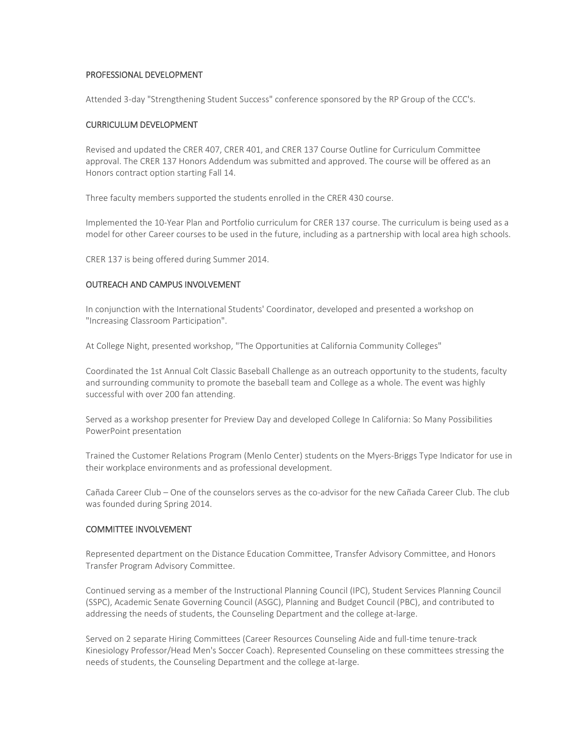# PROFESSIONAL DEVELOPMENT

Attended 3-day "Strengthening Student Success" conference sponsored by the RP Group of the CCC's.

# CURRICULUM DEVELOPMENT

Revised and updated the CRER 407, CRER 401, and CRER 137 Course Outline for Curriculum Committee approval. The CRER 137 Honors Addendum was submitted and approved. The course will be offered as an Honors contract option starting Fall 14.

Three faculty members supported the students enrolled in the CRER 430 course.

Implemented the 10-Year Plan and Portfolio curriculum for CRER 137 course. The curriculum is being used as a model for other Career courses to be used in the future, including as a partnership with local area high schools.

CRER 137 is being offered during Summer 2014.

# OUTREACH AND CAMPUS INVOLVEMENT

In conjunction with the International Students' Coordinator, developed and presented a workshop on "Increasing Classroom Participation".

At College Night, presented workshop, "The Opportunities at California Community Colleges"

Coordinated the 1st Annual Colt Classic Baseball Challenge as an outreach opportunity to the students, faculty and surrounding community to promote the baseball team and College as a whole. The event was highly successful with over 200 fan attending.

Served as a workshop presenter for Preview Day and developed College In California: So Many Possibilities PowerPoint presentation

Trained the Customer Relations Program (Menlo Center) students on the Myers-Briggs Type Indicator for use in their workplace environments and as professional development.

Cañada Career Club – One of the counselors serves as the co-advisor for the new Cañada Career Club. The club was founded during Spring 2014.

# COMMITTEE INVOLVEMENT

Represented department on the Distance Education Committee, Transfer Advisory Committee, and Honors Transfer Program Advisory Committee.

Continued serving as a member of the Instructional Planning Council (IPC), Student Services Planning Council (SSPC), Academic Senate Governing Council (ASGC), Planning and Budget Council (PBC), and contributed to addressing the needs of students, the Counseling Department and the college at-large.

Served on 2 separate Hiring Committees (Career Resources Counseling Aide and full-time tenure-track Kinesiology Professor/Head Men's Soccer Coach). Represented Counseling on these committees stressing the needs of students, the Counseling Department and the college at-large.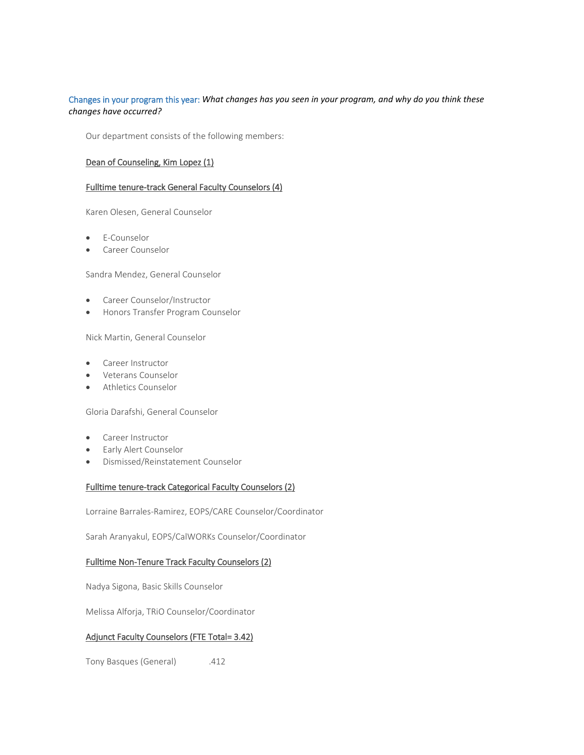# Changes in your program this year: *What changes has you seen in your program, and why do you think these changes have occurred?*

Our department consists of the following members:

# Dean of Counseling, Kim Lopez (1)

# Fulltime tenure-track General Faculty Counselors (4)

Karen Olesen, General Counselor

- E-Counselor
- Career Counselor

Sandra Mendez, General Counselor

- Career Counselor/Instructor
- Honors Transfer Program Counselor

Nick Martin, General Counselor

- Career Instructor
- Veterans Counselor
- Athletics Counselor

Gloria Darafshi, General Counselor

- Career Instructor
- Early Alert Counselor
- Dismissed/Reinstatement Counselor

# Fulltime tenure-track Categorical Faculty Counselors (2)

Lorraine Barrales-Ramirez, EOPS/CARE Counselor/Coordinator

Sarah Aranyakul, EOPS/CalWORKs Counselor/Coordinator

# Fulltime Non-Tenure Track Faculty Counselors (2)

Nadya Sigona, Basic Skills Counselor

Melissa Alforja, TRiO Counselor/Coordinator

# Adjunct Faculty Counselors (FTE Total= 3.42)

Tony Basques (General) .412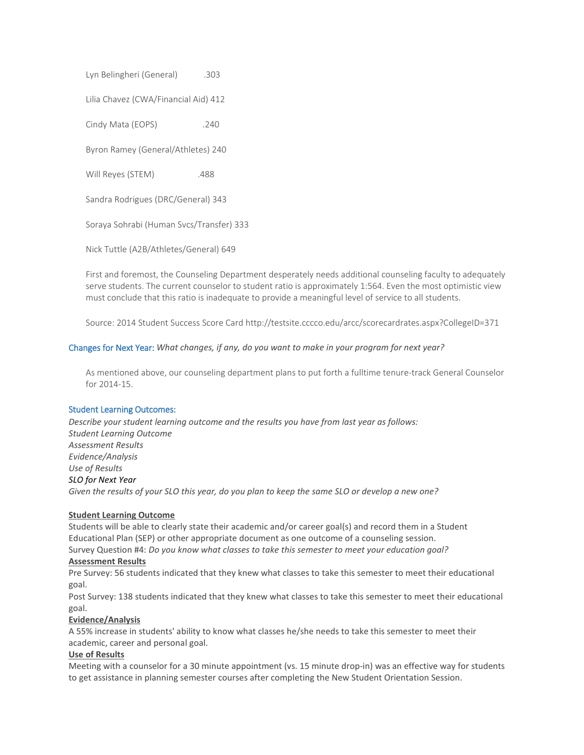Lyn Belingheri (General) .303

Lilia Chavez (CWA/Financial Aid) 412

Cindy Mata (EOPS) .240

Byron Ramey (General/Athletes) 240

Will Reyes (STEM) .488

Sandra Rodrigues (DRC/General) 343

Soraya Sohrabi (Human Svcs/Transfer) 333

Nick Tuttle (A2B/Athletes/General) 649

First and foremost, the Counseling Department desperately needs additional counseling faculty to adequately serve students. The current counselor to student ratio is approximately 1:564. Even the most optimistic view must conclude that this ratio is inadequate to provide a meaningful level of service to all students.

Source: 2014 Student Success Score Card http://testsite.cccco.edu/arcc/scorecardrates.aspx?CollegeID=371

# Changes for Next Year: *What changes, if any, do you want to make in your program for next year?*

As mentioned above, our counseling department plans to put forth a fulltime tenure-track General Counselor for 2014-15.

# Student Learning Outcomes:

*Describe your student learning outcome and the results you have from last year as follows: Student Learning Outcome Assessment Results Evidence/Analysis Use of Results SLO for Next Year Given the results of your SLO this year, do you plan to keep the same SLO or develop a new one?*

# **Student Learning Outcome**

Students will be able to clearly state their academic and/or career goal(s) and record them in a Student Educational Plan (SEP) or other appropriate document as one outcome of a counseling session.

Survey Question #4: *Do you know what classes to take this semester to meet your education goal?* **Assessment Results**

Pre Survey: 56 students indicated that they knew what classes to take this semester to meet their educational goal.

Post Survey: 138 students indicated that they knew what classes to take this semester to meet their educational goal.

# **Evidence/Analysis**

A 55% increase in students' ability to know what classes he/she needs to take this semester to meet their academic, career and personal goal.

# **Use of Results**

Meeting with a counselor for a 30 minute appointment (vs. 15 minute drop-in) was an effective way for students to get assistance in planning semester courses after completing the New Student Orientation Session.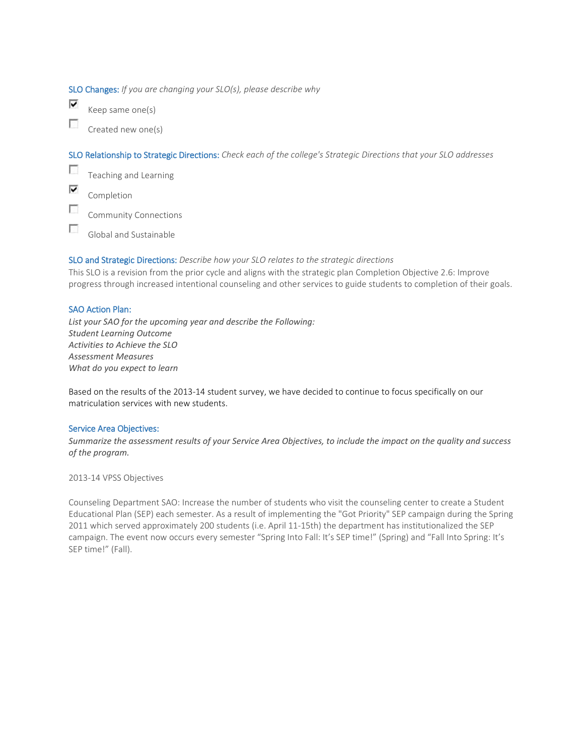SLO Changes: *If you are changing your SLO(s), please describe why*

⊽ Keep same one(s)

П Created new one(s)

SLO Relationship to Strategic Directions: *Check each of the college's Strategic Directions that your SLO addresses*

 $\overline{\mathcal{L}}$ Teaching and Learning ⊽

Completion

 $\mathcal{L}_{\mathcal{L}}$ Community Connections

 $\sim$ Global and Sustainable

# SLO and Strategic Directions: *Describe how your SLO relates to the strategic directions*

This SLO is a revision from the prior cycle and aligns with the strategic plan Completion Objective 2.6: Improve progress through increased intentional counseling and other services to guide students to completion of their goals.

# SAO Action Plan:

*List your SAO for the upcoming year and describe the Following: Student Learning Outcome Activities to Achieve the SLO Assessment Measures What do you expect to learn*

Based on the results of the 2013-14 student survey, we have decided to continue to focus specifically on our matriculation services with new students.

# Service Area Objectives:

*Summarize the assessment results of your Service Area Objectives, to include the impact on the quality and success of the program.*

2013-14 VPSS Objectives

Counseling Department SAO: Increase the number of students who visit the counseling center to create a Student Educational Plan (SEP) each semester. As a result of implementing the "Got Priority" SEP campaign during the Spring 2011 which served approximately 200 students (i.e. April 11-15th) the department has institutionalized the SEP campaign. The event now occurs every semester "Spring Into Fall: It's SEP time!" (Spring) and "Fall Into Spring: It's SEP time!" (Fall).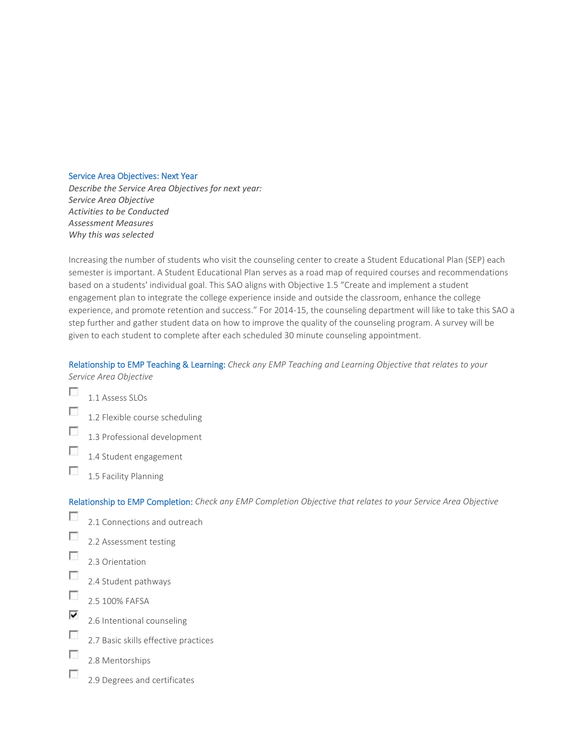#### Service Area Objectives: Next Year

*Describe the Service Area Objectives for next year: Service Area Objective Activities to be Conducted Assessment Measures Why this was selected*

Increasing the number of students who visit the counseling center to create a Student Educational Plan (SEP) each semester is important. A Student Educational Plan serves as a road map of required courses and recommendations based on a students' individual goal. This SAO aligns with Objective 1.5 "Create and implement a student engagement plan to integrate the college experience inside and outside the classroom, enhance the college experience, and promote retention and success." For 2014-15, the counseling department will like to take this SAO a step further and gather student data on how to improve the quality of the counseling program. A survey will be given to each student to complete after each scheduled 30 minute counseling appointment.

# Relationship to EMP Teaching & Learning: *Check any EMP Teaching and Learning Objective that relates to your Service Area Objective*

- $\overline{\mathcal{L}}$ 1.1 Assess SLOs
- г 1.2 Flexible course scheduling
- П 1.3 Professional development
- $\mathcal{L}_{\mathcal{L}}$ 1.4 Student engagement
- **P** 1.5 Facility Planning

# Relationship to EMP Completion: *Check any EMP Completion Objective that relates to your Service Area Objective*

- $\sim$ 2.1 Connections and outreach
- $\overline{\mathcal{L}}$ 2.2 Assessment testing
- п 2.3 Orientation
- T 2.4 Student pathways
- $\sim$ 2.5 100% FAFSA
- ⊽ 2.6 Intentional counseling
- $\overline{\phantom{a}}$ 2.7 Basic skills effective practices
- П 2.8 Mentorships
- F 2.9 Degrees and certificates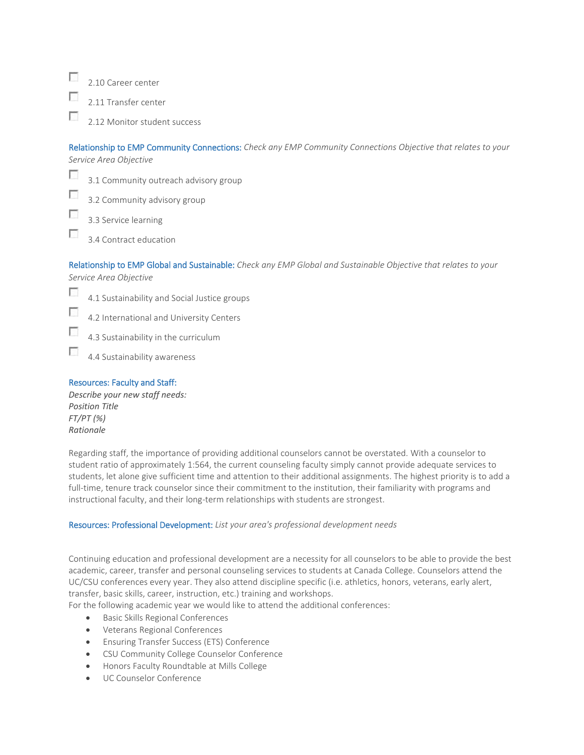$\overline{a}$ 2.10 Career center

2.11 Transfer center

2.12 Monitor student success

Relationship to EMP Community Connections: *Check any EMP Community Connections Objective that relates to your Service Area Objective*

п

|        |  | 3.1 Community outreach advisory group |
|--------|--|---------------------------------------|
| $\Box$ |  |                                       |

3.2 Community advisory group

3.3 Service learning

Г 3.4 Contract education

Relationship to EMP Global and Sustainable: *Check any EMP Global and Sustainable Objective that relates to your Service Area Objective*

п 4.1 Sustainability and Social Justice groups

Г 4.2 International and University Centers

г 4.3 Sustainability in the curriculum

П 4.4 Sustainability awareness

# Resources: Faculty and Staff:

*Describe your new staff needs: Position Title FT/PT (%) Rationale*

Regarding staff, the importance of providing additional counselors cannot be overstated. With a counselor to student ratio of approximately 1:564, the current counseling faculty simply cannot provide adequate services to students, let alone give sufficient time and attention to their additional assignments. The highest priority is to add a full-time, tenure track counselor since their commitment to the institution, their familiarity with programs and instructional faculty, and their long-term relationships with students are strongest.

# Resources: Professional Development: *List your area's professional development needs*

Continuing education and professional development are a necessity for all counselors to be able to provide the best academic, career, transfer and personal counseling services to students at Canada College. Counselors attend the UC/CSU conferences every year. They also attend discipline specific (i.e. athletics, honors, veterans, early alert, transfer, basic skills, career, instruction, etc.) training and workshops.

For the following academic year we would like to attend the additional conferences:

- Basic Skills Regional Conferences
- Veterans Regional Conferences
- Ensuring Transfer Success (ETS) Conference
- CSU Community College Counselor Conference
- Honors Faculty Roundtable at Mills College
- UC Counselor Conference